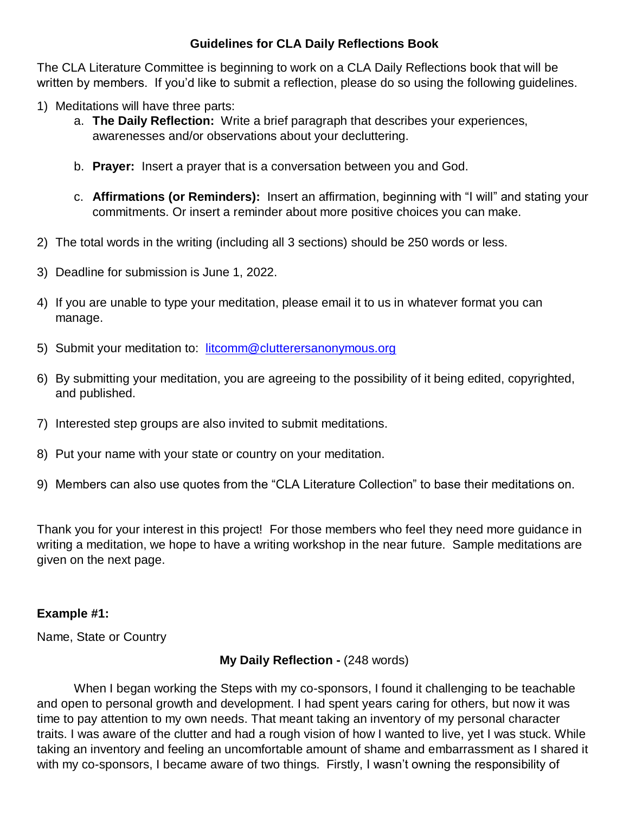## **Guidelines for CLA Daily Reflections Book**

The CLA Literature Committee is beginning to work on a CLA Daily Reflections book that will be written by members. If you'd like to submit a reflection, please do so using the following guidelines.

- 1) Meditations will have three parts:
	- a. **The Daily Reflection:** Write a brief paragraph that describes your experiences, awarenesses and/or observations about your decluttering.
	- b. **Prayer:** Insert a prayer that is a conversation between you and God.
	- c. **Affirmations (or Reminders):** Insert an affirmation, beginning with "I will" and stating your commitments. Or insert a reminder about more positive choices you can make.
- 2) The total words in the writing (including all 3 sections) should be 250 words or less.
- 3) Deadline for submission is June 1, 2022.
- 4) If you are unable to type your meditation, please email it to us in whatever format you can manage.
- 5) Submit your meditation to: [litcomm@clutterersanonymous.org](mailto:litcomm@clutterersanonymous.org)
- 6) By submitting your meditation, you are agreeing to the possibility of it being edited, copyrighted, and published.
- 7) Interested step groups are also invited to submit meditations.
- 8) Put your name with your state or country on your meditation.
- 9) Members can also use quotes from the "CLA Literature Collection" to base their meditations on.

Thank you for your interest in this project! For those members who feel they need more guidance in writing a meditation, we hope to have a writing workshop in the near future. Sample meditations are given on the next page.

### **Example #1:**

Name, State or Country

### **My Daily Reflection -** (248 words)

When I began working the Steps with my co-sponsors, I found it challenging to be teachable and open to personal growth and development. I had spent years caring for others, but now it was time to pay attention to my own needs. That meant taking an inventory of my personal character traits. I was aware of the clutter and had a rough vision of how I wanted to live, yet I was stuck. While taking an inventory and feeling an uncomfortable amount of shame and embarrassment as I shared it with my co-sponsors, I became aware of two things. Firstly, I wasn't owning the responsibility of